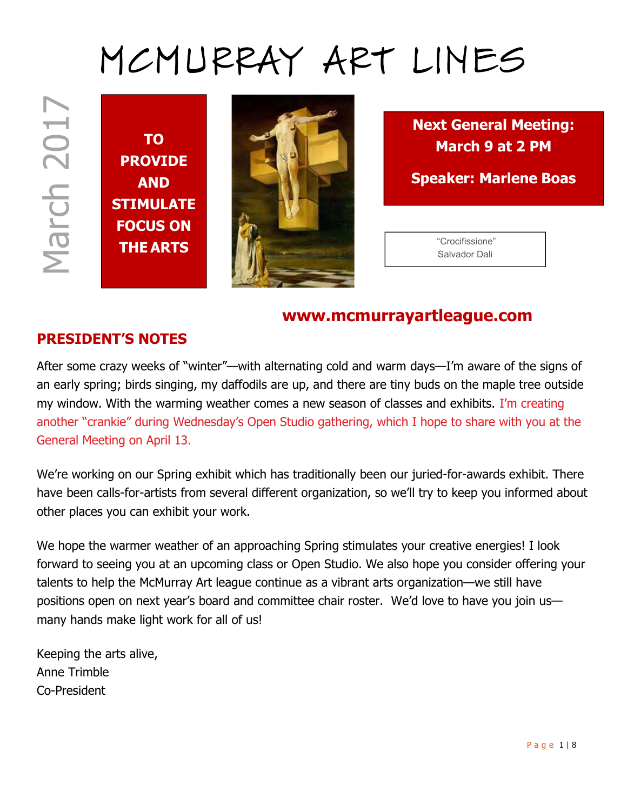# MCMURRAY ART LINES

TO **PROVIDE** AND **STIMULATE** FOCUS ON



Next General Meeting: March 9 at 2 PM

Speaker: Marlene Boas

Salvador Dali

# www.mcmurrayartleague.com

## PRESIDENT'S NOTES

**EXECUTE THE ARTS**<br> **PROVIDE**<br> **PROVIDE**<br> **PROVIDE**<br> **PROVIDE**<br> **PROVIDE**<br> **PROVIDE**<br> **PROVIDE**<br> **PROVIDE**<br> **PROVIDE**<br> **PROVIDE**<br> **PROVIDE**<br> **PROVIDE**<br> **PROVIDE**<br> **PROVIDE**<br> **PROVIDE**<br> **PROVIDE**<br> **PROVIDE**<br> **PROVIDE**<br> **PRO** After some crazy weeks of "winter"—with alternating cold and warm days—I'm aware of the signs of an early spring; birds singing, my daffodils are up, and there are tiny buds on the maple tree outside my window. With the warming weather comes a new season of classes and exhibits. I'm creating another "crankie" during Wednesday's Open Studio gathering, which I hope to share with you at the General Meeting on April 13.

We're working on our Spring exhibit which has traditionally been our juried-for-awards exhibit. There have been calls-for-artists from several different organization, so we'll try to keep you informed about other places you can exhibit your work.

We hope the warmer weather of an approaching Spring stimulates your creative energies! I look forward to seeing you at an upcoming class or Open Studio. We also hope you consider offering your talents to help the McMurray Art league continue as a vibrant arts organization—we still have positions open on next year's board and committee chair roster. We'd love to have you join us many hands make light work for all of us!

Keeping the arts alive, Anne Trimble Co-President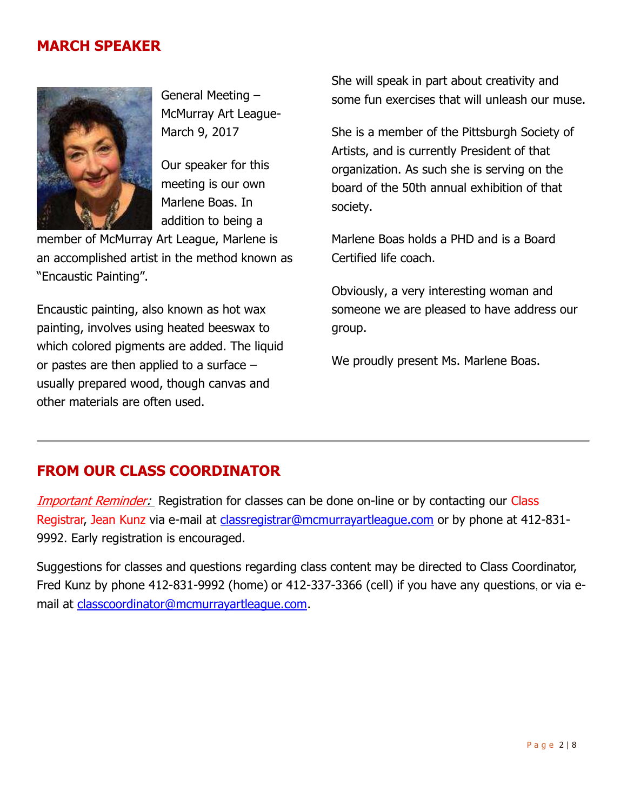## MARCH SPEAKER



General Meeting – McMurray Art League-March 9, 2017

Our speaker for this meeting is our own Marlene Boas. In addition to being a

member of McMurray Art League, Marlene is an accomplished artist in the method known as "Encaustic Painting".

Encaustic painting, also known as hot wax painting, involves using heated beeswax to which colored pigments are added. The liquid or pastes are then applied to a surface – usually prepared wood, though canvas and other materials are often used.

She will speak in part about creativity and some fun exercises that will unleash our muse.

She is a member of the Pittsburgh Society of Artists, and is currently President of that organization. As such she is serving on the board of the 50th annual exhibition of that society.

Marlene Boas holds a PHD and is a Board Certified life coach.

Obviously, a very interesting woman and someone we are pleased to have address our group.

We proudly present Ms. Marlene Boas.

# FROM OUR CLASS COORDINATOR

**Important Reminder:** Registration for classes can be done on-line or by contacting our Class Registrar, Jean Kunz via e-mail at classregistrar@mcmurrayartleague.com or by phone at 412-831- 9992. Early registration is encouraged.

Suggestions for classes and questions regarding class content may be directed to Class Coordinator, Fred Kunz by phone 412-831-9992 (home) or 412-337-3366 (cell) if you have any questions, or via email at classcoordinator@mcmurrayartleague.com.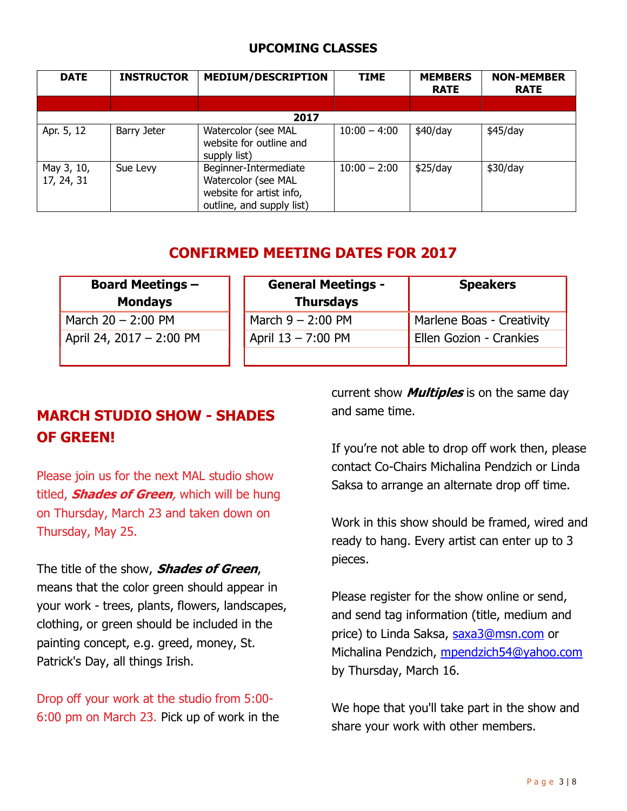#### UPCOMING CLASSES

| <b>DATE</b>              | <b>INSTRUCTOR</b> | <b>MEDIUM/DESCRIPTION</b>                                                                             | <b>TIME</b>    | <b>MEMBERS</b><br><b>RATE</b> | <b>NON-MEMBER</b><br><b>RATE</b> |  |
|--------------------------|-------------------|-------------------------------------------------------------------------------------------------------|----------------|-------------------------------|----------------------------------|--|
|                          |                   |                                                                                                       |                |                               |                                  |  |
| 2017                     |                   |                                                                                                       |                |                               |                                  |  |
| Apr. 5, 12               | Barry Jeter       | Watercolor (see MAL<br>website for outline and<br>supply list)                                        | $10:00 - 4:00$ | \$40/day                      | \$45/day                         |  |
| May 3, 10,<br>17, 24, 31 | Sue Levy          | Beginner-Intermediate<br>Watercolor (see MAL<br>website for artist info,<br>outline, and supply list) | $10:00 - 2:00$ | \$25/day                      | \$30/day                         |  |

# CONFIRMED MEETING DATES FOR 2017

| <b>Board Meetings -</b><br><b>Mondays</b> | <b>General Meetings -</b><br><b>Thursdays</b> | <b>Speakers</b>           |
|-------------------------------------------|-----------------------------------------------|---------------------------|
| March $20 - 2:00$ PM                      | March $9 - 2:00$ PM                           | Marlene Boas - Creativity |
| April 24, 2017 - 2:00 PM                  | April 13 - 7:00 PM                            | Ellen Gozion - Crankies   |
|                                           |                                               |                           |

# MARCH STUDIO SHOW - SHADES OF GREEN!

Please join us for the next MAL studio show titled, **Shades of Green**, which will be hung on Thursday, March 23 and taken down on Thursday, May 25.

The title of the show, **Shades of Green**, means that the color green should appear in your work - trees, plants, flowers, landscapes, clothing, or green should be included in the painting concept, e.g. greed, money, St. Patrick's Day, all things Irish.

Drop off your work at the studio from 5:00- 6:00 pm on March 23. Pick up of work in the current show **Multiples** is on the same day and same time.

If you're not able to drop off work then, please contact Co-Chairs Michalina Pendzich or Linda Saksa to arrange an alternate drop off time.

Work in this show should be framed, wired and ready to hang. Every artist can enter up to 3 pieces.

Please register for the show online or send, and send tag information (title, medium and price) to Linda Saksa, saxa3@msn.com or Michalina Pendzich, mpendzich54@yahoo.com by Thursday, March 16.

We hope that you'll take part in the show and share your work with other members.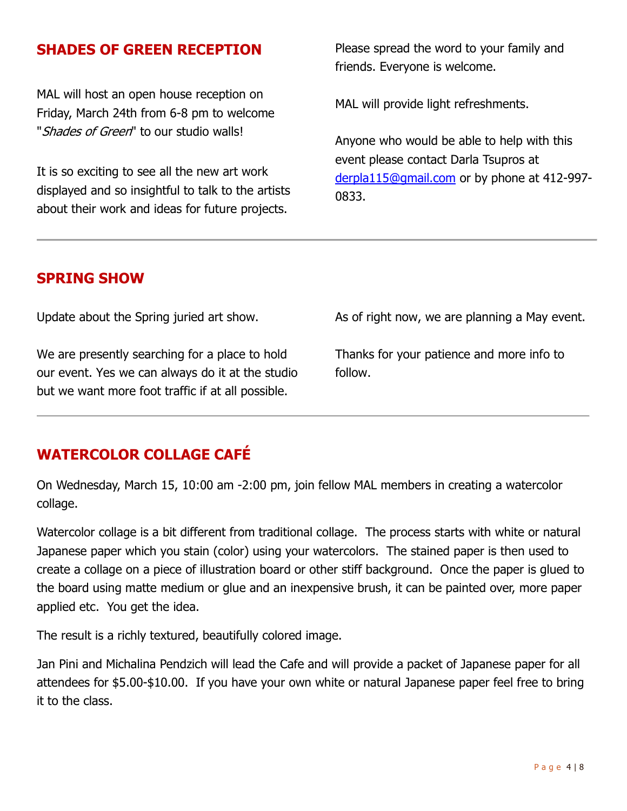## SHADES OF GREEN RECEPTION

MAL will host an open house reception on Friday, March 24th from 6-8 pm to welcome "Shades of Green" to our studio walls!

It is so exciting to see all the new art work displayed and so insightful to talk to the artists about their work and ideas for future projects.

Please spread the word to your family and friends. Everyone is welcome.

MAL will provide light refreshments.

Anyone who would be able to help with this event please contact Darla Tsupros at derpla115@gmail.com or by phone at 412-997- 0833.

#### SPRING SHOW

Update about the Spring juried art show.

We are presently searching for a place to hold our event. Yes we can always do it at the studio but we want more foot traffic if at all possible.

As of right now, we are planning a May event.

Thanks for your patience and more info to follow.

# WATERCOLOR COLLAGE CAFÉ

On Wednesday, March 15, 10:00 am -2:00 pm, join fellow MAL members in creating a watercolor collage.

Watercolor collage is a bit different from traditional collage. The process starts with white or natural Japanese paper which you stain (color) using your watercolors. The stained paper is then used to create a collage on a piece of illustration board or other stiff background. Once the paper is glued to the board using matte medium or glue and an inexpensive brush, it can be painted over, more paper applied etc. You get the idea.

The result is a richly textured, beautifully colored image.

Jan Pini and Michalina Pendzich will lead the Cafe and will provide a packet of Japanese paper for all attendees for \$5.00-\$10.00. If you have your own white or natural Japanese paper feel free to bring it to the class.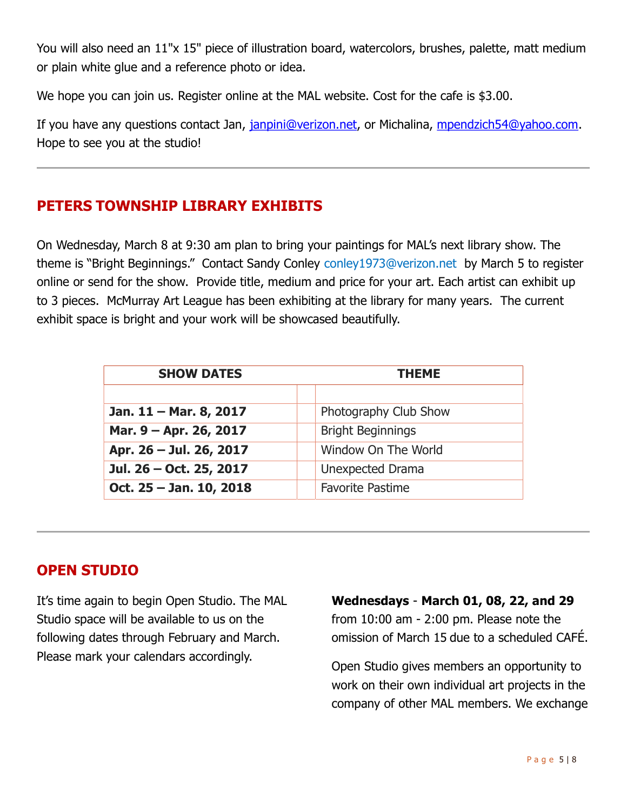You will also need an 11"x 15" piece of illustration board, watercolors, brushes, palette, matt medium or plain white glue and a reference photo or idea.

We hope you can join us. Register online at the MAL website. Cost for the cafe is \$3.00.

If you have any questions contact Jan, janpini@verizon.net, or Michalina, mpendzich54@yahoo.com. Hope to see you at the studio!

## PETERS TOWNSHIP LIBRARY EXHIBITS

On Wednesday, March 8 at 9:30 am plan to bring your paintings for MAL's next library show. The theme is "Bright Beginnings." Contact Sandy Conley conley1973@verizon.net by March 5 to register online or send for the show. Provide title, medium and price for your art. Each artist can exhibit up to 3 pieces. McMurray Art League has been exhibiting at the library for many years. The current exhibit space is bright and your work will be showcased beautifully.

| <b>SHOW DATES</b>       | <b>THEME</b>             |  |  |
|-------------------------|--------------------------|--|--|
|                         |                          |  |  |
| Jan. 11 - Mar. 8, 2017  | Photography Club Show    |  |  |
| Mar. 9 – Apr. 26, 2017  | <b>Bright Beginnings</b> |  |  |
| Apr. 26 - Jul. 26, 2017 | Window On The World      |  |  |
| Jul. 26 - Oct. 25, 2017 | Unexpected Drama         |  |  |
| Oct. 25 - Jan. 10, 2018 | <b>Favorite Pastime</b>  |  |  |

## OPEN STUDIO

It's time again to begin Open Studio. The MAL Studio space will be available to us on the following dates through February and March. Please mark your calendars accordingly.

#### Wednesdays - March 01, 08, 22, and 29

from 10:00 am - 2:00 pm. Please note the omission of March 15 due to a scheduled CAFÉ.

Open Studio gives members an opportunity to work on their own individual art projects in the company of other MAL members. We exchange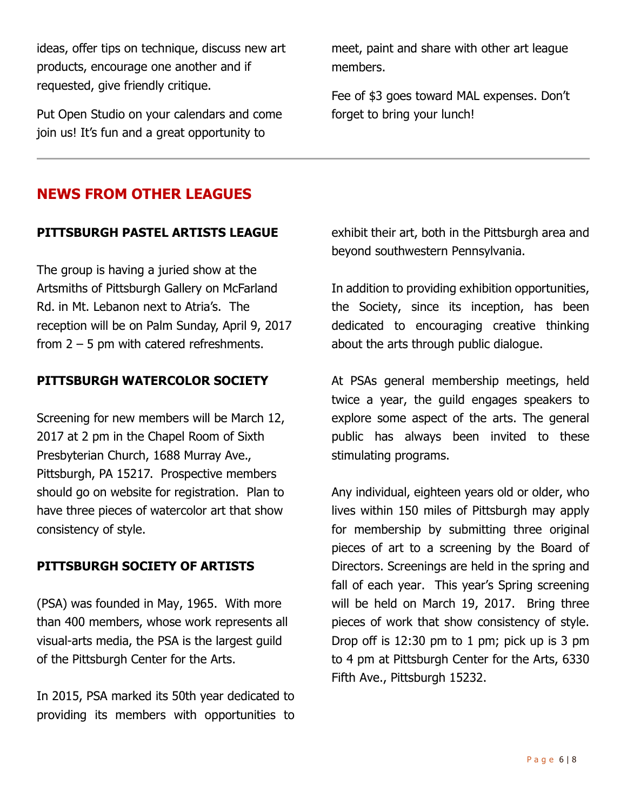ideas, offer tips on technique, discuss new art products, encourage one another and if requested, give friendly critique.

Put Open Studio on your calendars and come join us! It's fun and a great opportunity to

meet, paint and share with other art league members.

Fee of \$3 goes toward MAL expenses. Don't forget to bring your lunch!

## NEWS FROM OTHER LEAGUES

#### PITTSBURGH PASTEL ARTISTS LEAGUE

The group is having a juried show at the Artsmiths of Pittsburgh Gallery on McFarland Rd. in Mt. Lebanon next to Atria's. The reception will be on Palm Sunday, April 9, 2017 from  $2 - 5$  pm with catered refreshments.

#### PITTSBURGH WATERCOLOR SOCIETY

Screening for new members will be March 12, 2017 at 2 pm in the Chapel Room of Sixth Presbyterian Church, 1688 Murray Ave., Pittsburgh, PA 15217. Prospective members should go on website for registration. Plan to have three pieces of watercolor art that show consistency of style.

### PITTSBURGH SOCIETY OF ARTISTS

(PSA) was founded in May, 1965. With more than 400 members, whose work represents all visual-arts media, the PSA is the largest guild of the Pittsburgh Center for the Arts.

In 2015, PSA marked its 50th year dedicated to providing its members with opportunities to exhibit their art, both in the Pittsburgh area and beyond southwestern Pennsylvania.

In addition to providing exhibition opportunities, the Society, since its inception, has been dedicated to encouraging creative thinking about the arts through public dialogue.

At PSAs general membership meetings, held twice a year, the guild engages speakers to explore some aspect of the arts. The general public has always been invited to these stimulating programs.

Any individual, eighteen years old or older, who lives within 150 miles of Pittsburgh may apply for membership by submitting three original pieces of art to a screening by the Board of Directors. Screenings are held in the spring and fall of each year. This year's Spring screening will be held on March 19, 2017. Bring three pieces of work that show consistency of style. Drop off is 12:30 pm to 1 pm; pick up is 3 pm to 4 pm at Pittsburgh Center for the Arts, 6330 Fifth Ave., Pittsburgh 15232.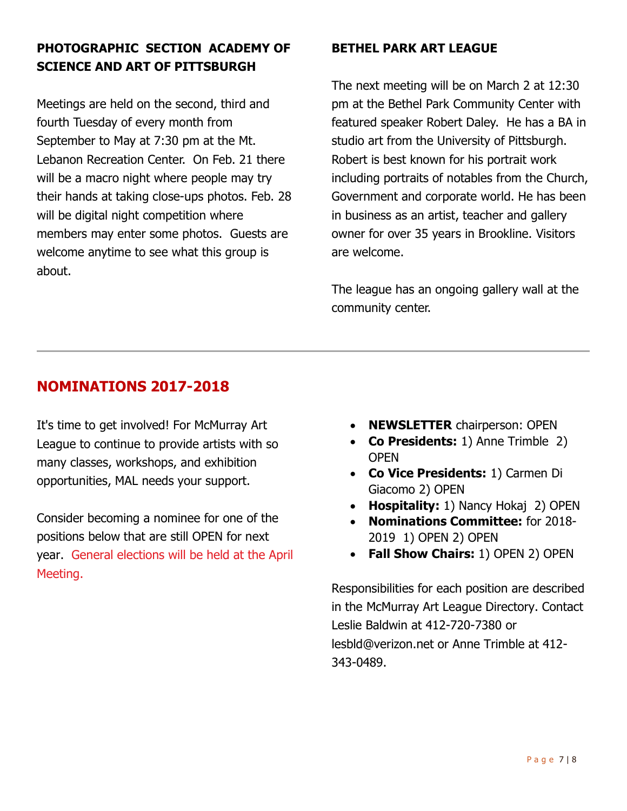## PHOTOGRAPHIC SECTION ACADEMY OF SCIENCE AND ART OF PITTSBURGH

Meetings are held on the second, third and fourth Tuesday of every month from September to May at 7:30 pm at the Mt. Lebanon Recreation Center. On Feb. 21 there will be a macro night where people may try their hands at taking close-ups photos. Feb. 28 will be digital night competition where members may enter some photos. Guests are welcome anytime to see what this group is about.

#### BETHEL PARK ART LEAGUE

The next meeting will be on March 2 at 12:30 pm at the Bethel Park Community Center with featured speaker Robert Daley. He has a BA in studio art from the University of Pittsburgh. Robert is best known for his portrait work including portraits of notables from the Church, Government and corporate world. He has been in business as an artist, teacher and gallery owner for over 35 years in Brookline. Visitors are welcome.

The league has an ongoing gallery wall at the community center.

# NOMINATIONS 2017-2018

It's time to get involved! For McMurray Art League to continue to provide artists with so many classes, workshops, and exhibition opportunities, MAL needs your support.

Consider becoming a nominee for one of the positions below that are still OPEN for next year. General elections will be held at the April Meeting.

- NEWSLETTER chairperson: OPEN
- Co Presidents: 1) Anne Trimble 2) **OPEN**
- Co Vice Presidents: 1) Carmen Di Giacomo 2) OPEN
- Hospitality: 1) Nancy Hokaj 2) OPEN
- Nominations Committee: for 2018- 2019 1) OPEN 2) OPEN
- Fall Show Chairs: 1) OPEN 2) OPEN

Responsibilities for each position are described in the McMurray Art League Directory. Contact Leslie Baldwin at 412-720-7380 or lesbld@verizon.net or Anne Trimble at 412- 343-0489.